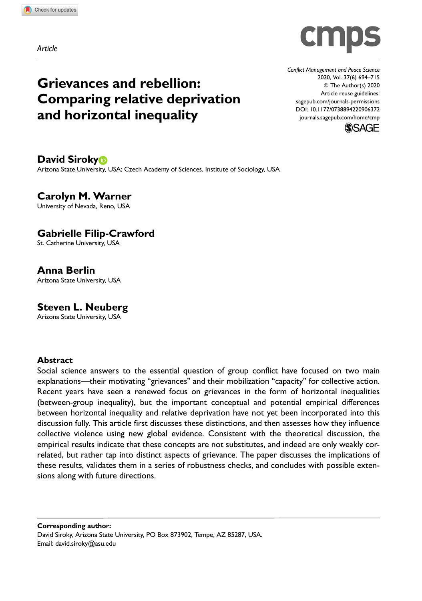Article



Grievances and rebellion: Comparing relative deprivation and horizontal inequality

Conflict Management and Peace Science 2020, Vol. 37(6) 694–715 © The Author(s) 2020 Article reuse guidelines: [sagepub.com/journals-permissions](https://uk.sagepub.com/en-gb/journals-permissions) [DOI: 10.1177/0738894220906372](https://doi.org/10.1177/0738894220906372) <journals.sagepub.com/home/cmp>



David Siroky<sup>®</sup> Arizona State University, USA; Czech Academy of Sciences, Institute of Sociology, USA

Carolyn M. Warner University of Nevada, Reno, USA

Gabrielle Filip-Crawford St. Catherine University, USA

Anna Berlin Arizona State University, USA

Steven L. Neuberg

Arizona State University, USA

# Abstract

Social science answers to the essential question of group conflict have focused on two main explanations—their motivating "grievances" and their mobilization "capacity" for collective action. Recent years have seen a renewed focus on grievances in the form of horizontal inequalities (between-group inequality), but the important conceptual and potential empirical differences between horizontal inequality and relative deprivation have not yet been incorporated into this discussion fully. This article first discusses these distinctions, and then assesses how they influence collective violence using new global evidence. Consistent with the theoretical discussion, the empirical results indicate that these concepts are not substitutes, and indeed are only weakly correlated, but rather tap into distinct aspects of grievance. The paper discusses the implications of these results, validates them in a series of robustness checks, and concludes with possible extensions along with future directions.

Corresponding author: David Siroky, Arizona State University, PO Box 873902, Tempe, AZ 85287, USA. Email: david.siroky@asu.edu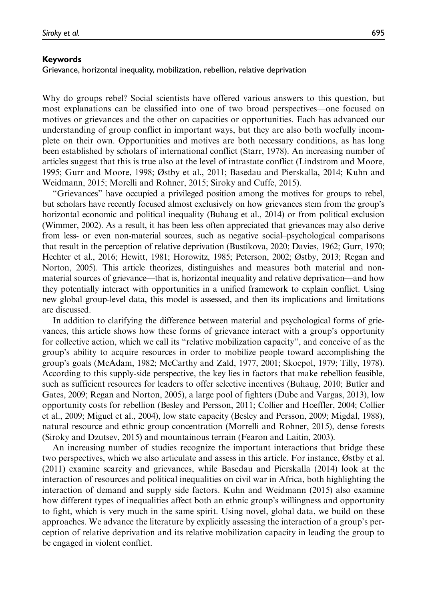#### Keywords

Grievance, horizontal inequality, mobilization, rebellion, relative deprivation

Why do groups rebel? Social scientists have offered various answers to this question, but most explanations can be classified into one of two broad perspectives—one focused on motives or grievances and the other on capacities or opportunities. Each has advanced our understanding of group conflict in important ways, but they are also both woefully incomplete on their own. Opportunities and motives are both necessary conditions, as has long been established by scholars of international conflict (Starr, 1978). An increasing number of articles suggest that this is true also at the level of intrastate conflict (Lindstrom and Moore, 1995; Gurr and Moore, 1998; Østby et al., 2011; Basedau and Pierskalla, 2014; Kuhn and Weidmann, 2015; Morelli and Rohner, 2015; Siroky and Cuffe, 2015).

''Grievances'' have occupied a privileged position among the motives for groups to rebel, but scholars have recently focused almost exclusively on how grievances stem from the group's horizontal economic and political inequality (Buhaug et al., 2014) or from political exclusion (Wimmer, 2002). As a result, it has been less often appreciated that grievances may also derive from less- or even non-material sources, such as negative social–psychological comparisons that result in the perception of relative deprivation (Bustikova, 2020; Davies, 1962; Gurr, 1970; Hechter et al., 2016; Hewitt, 1981; Horowitz, 1985; Peterson, 2002; Østby, 2013; Regan and Norton, 2005). This article theorizes, distinguishes and measures both material and nonmaterial sources of grievance—that is, horizontal inequality and relative deprivation—and how they potentially interact with opportunities in a unified framework to explain conflict. Using new global group-level data, this model is assessed, and then its implications and limitations are discussed.

In addition to clarifying the difference between material and psychological forms of grievances, this article shows how these forms of grievance interact with a group's opportunity for collective action, which we call its ''relative mobilization capacity'', and conceive of as the group's ability to acquire resources in order to mobilize people toward accomplishing the group's goals (McAdam, 1982; McCarthy and Zald, 1977, 2001; Skocpol, 1979; Tilly, 1978). According to this supply-side perspective, the key lies in factors that make rebellion feasible, such as sufficient resources for leaders to offer selective incentives (Buhaug, 2010; Butler and Gates, 2009; Regan and Norton, 2005), a large pool of fighters (Dube and Vargas, 2013), low opportunity costs for rebellion (Besley and Persson, 2011; Collier and Hoeffler, 2004; Collier et al., 2009; Miguel et al., 2004), low state capacity (Besley and Persson, 2009; Migdal, 1988), natural resource and ethnic group concentration (Morrelli and Rohner, 2015), dense forests (Siroky and Dzutsev, 2015) and mountainous terrain (Fearon and Laitin, 2003).

An increasing number of studies recognize the important interactions that bridge these two perspectives, which we also articulate and assess in this article. For instance, Østby et al. (2011) examine scarcity and grievances, while Basedau and Pierskalla (2014) look at the interaction of resources and political inequalities on civil war in Africa, both highlighting the interaction of demand and supply side factors. Kuhn and Weidmann (2015) also examine how different types of inequalities affect both an ethnic group's willingness and opportunity to fight, which is very much in the same spirit. Using novel, global data, we build on these approaches. We advance the literature by explicitly assessing the interaction of a group's perception of relative deprivation and its relative mobilization capacity in leading the group to be engaged in violent conflict.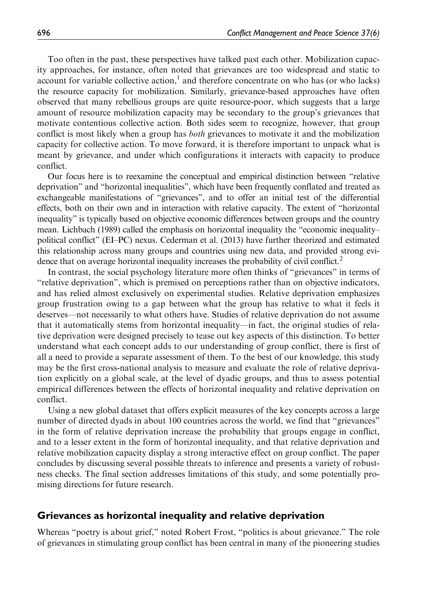Too often in the past, these perspectives have talked past each other. Mobilization capacity approaches, for instance, often noted that grievances are too widespread and static to account for variable collective action, $<sup>1</sup>$  and therefore concentrate on who has (or who lacks)</sup> the resource capacity for mobilization. Similarly, grievance-based approaches have often observed that many rebellious groups are quite resource-poor, which suggests that a large amount of resource mobilization capacity may be secondary to the group's grievances that motivate contentious collective action. Both sides seem to recognize, however, that group conflict is most likely when a group has both grievances to motivate it and the mobilization capacity for collective action. To move forward, it is therefore important to unpack what is meant by grievance, and under which configurations it interacts with capacity to produce conflict.

Our focus here is to reexamine the conceptual and empirical distinction between ''relative deprivation'' and ''horizontal inequalities'', which have been frequently conflated and treated as exchangeable manifestations of ''grievances'', and to offer an initial test of the differential effects, both on their own and in interaction with relative capacity. The extent of ''horizontal inequality'' is typically based on objective economic differences between groups and the country mean. Lichbach (1989) called the emphasis on horizontal inequality the "economic inequality– political conflict'' (EI–PC) nexus. Cederman et al. (2013) have further theorized and estimated this relationship across many groups and countries using new data, and provided strong evidence that on average horizontal inequality increases the probability of civil conflict.<sup>2</sup>

In contrast, the social psychology literature more often thinks of ''grievances'' in terms of ''relative deprivation'', which is premised on perceptions rather than on objective indicators, and has relied almost exclusively on experimental studies. Relative deprivation emphasizes group frustration owing to a gap between what the group has relative to what it feels it deserves—not necessarily to what others have. Studies of relative deprivation do not assume that it automatically stems from horizontal inequality—in fact, the original studies of relative deprivation were designed precisely to tease out key aspects of this distinction. To better understand what each concept adds to our understanding of group conflict, there is first of all a need to provide a separate assessment of them. To the best of our knowledge, this study may be the first cross-national analysis to measure and evaluate the role of relative deprivation explicitly on a global scale, at the level of dyadic groups, and thus to assess potential empirical differences between the effects of horizontal inequality and relative deprivation on conflict.

Using a new global dataset that offers explicit measures of the key concepts across a large number of directed dyads in about 100 countries across the world, we find that "grievances" in the form of relative deprivation increase the probability that groups engage in conflict, and to a lesser extent in the form of horizontal inequality, and that relative deprivation and relative mobilization capacity display a strong interactive effect on group conflict. The paper concludes by discussing several possible threats to inference and presents a variety of robustness checks. The final section addresses limitations of this study, and some potentially promising directions for future research.

# Grievances as horizontal inequality and relative deprivation

Whereas ''poetry is about grief,'' noted Robert Frost, ''politics is about grievance.'' The role of grievances in stimulating group conflict has been central in many of the pioneering studies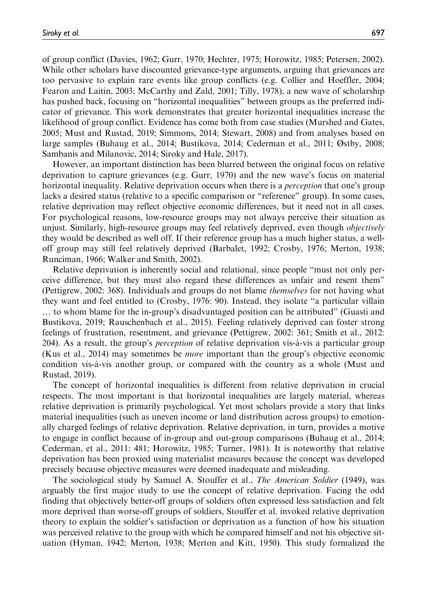of group conflict (Davies, 1962; Gurr, 1970; Hechter, 1975; Horowitz, 1985; Petersen, 2002). While other scholars have discounted grievance-type arguments, arguing that grievances are too pervasive to explain rare events like group conflicts (e.g. Collier and Hoeffler, 2004; Fearon and Laitin, 2003; McCarthy and Zald, 2001; Tilly, 1978), a new wave of scholarship has pushed back, focusing on ''horizontal inequalities'' between groups as the preferred indicator of grievance. This work demonstrates that greater horizontal inequalities increase the likelihood of group conflict. Evidence has come both from case studies (Murshed and Gates, 2005; Must and Rustad, 2019; Simmons, 2014; Stewart, 2008) and from analyses based on large samples (Buhaug et al., 2014; Bustikova, 2014; Cederman et al., 2011; Østby, 2008; Sambanis and Milanovic, 2014; Siroky and Hale, 2017).

However, an important distinction has been blurred between the original focus on relative deprivation to capture grievances (e.g. Gurr, 1970) and the new wave's focus on material horizontal inequality. Relative deprivation occurs when there is a *perception* that one's group lacks a desired status (relative to a specific comparison or ''reference'' group). In some cases, relative deprivation may reflect objective economic differences, but it need not in all cases. For psychological reasons, low-resource groups may not always perceive their situation as unjust. Similarly, high-resource groups may feel relatively deprived, even though *objectively* they would be described as well off. If their reference group has a much higher status, a welloff group may still feel relatively deprived (Barbalet, 1992; Crosby, 1976; Merton, 1938; Runciman, 1966; Walker and Smith, 2002).

Relative deprivation is inherently social and relational, since people ''must not only perceive difference, but they must also regard these differences as unfair and resent them'' (Pettigrew, 2002: 368). Individuals and groups do not blame themselves for not having what they want and feel entitled to (Crosby, 1976: 90). Instead, they isolate ''a particular villain . to whom blame for the in-group's disadvantaged position can be attributed'' (Guasti and Bustikova, 2019; Rauschenbach et al., 2015). Feeling relatively deprived can foster strong feelings of frustration, resentment, and grievance (Pettigrew, 2002: 361; Smith et al., 2012: 204). As a result, the group's *perception* of relative deprivation vis-à-vis a particular group (Kus et al., 2014) may sometimes be *more* important than the group's objective economic condition vis-a`-vis another group, or compared with the country as a whole (Must and Rustad, 2019).

The concept of horizontal inequalities is different from relative deprivation in crucial respects. The most important is that horizontal inequalities are largely material, whereas relative deprivation is primarily psychological. Yet most scholars provide a story that links material inequalities (such as uneven income or land distribution across groups) to emotionally charged feelings of relative deprivation. Relative deprivation, in turn, provides a motive to engage in conflict because of in-group and out-group comparisons (Buhaug et al., 2014; Cederman, et al., 2011: 481; Horowitz, 1985; Turner, 1981). It is noteworthy that relative deprivation has been proxied using materialist measures because the concept was developed precisely because objective measures were deemed inadequate and misleading.

The sociological study by Samuel A. Stouffer et al., The American Soldier (1949), was arguably the first major study to use the concept of relative deprivation. Facing the odd finding that objectively better-off groups of soldiers often expressed less satisfaction and felt more deprived than worse-off groups of soldiers, Stouffer et al. invoked relative deprivation theory to explain the soldier's satisfaction or deprivation as a function of how his situation was perceived relative to the group with which he compared himself and not his objective situation (Hyman, 1942; Merton, 1938; Merton and Kitt, 1950). This study formalized the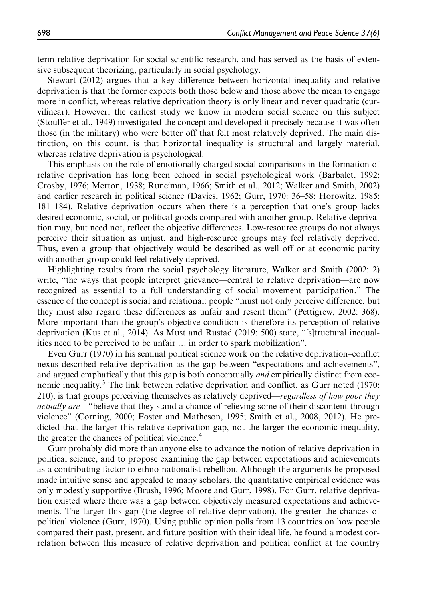term relative deprivation for social scientific research, and has served as the basis of extensive subsequent theorizing, particularly in social psychology.

Stewart (2012) argues that a key difference between horizontal inequality and relative deprivation is that the former expects both those below and those above the mean to engage more in conflict, whereas relative deprivation theory is only linear and never quadratic (curvilinear). However, the earliest study we know in modern social science on this subject (Stouffer et al., 1949) investigated the concept and developed it precisely because it was often those (in the military) who were better off that felt most relatively deprived. The main distinction, on this count, is that horizontal inequality is structural and largely material, whereas relative deprivation is psychological.

This emphasis on the role of emotionally charged social comparisons in the formation of relative deprivation has long been echoed in social psychological work (Barbalet, 1992; Crosby, 1976; Merton, 1938; Runciman, 1966; Smith et al., 2012; Walker and Smith, 2002) and earlier research in political science (Davies, 1962; Gurr, 1970: 36–58; Horowitz, 1985: 181–184). Relative deprivation occurs when there is a perception that one's group lacks desired economic, social, or political goods compared with another group. Relative deprivation may, but need not, reflect the objective differences. Low-resource groups do not always perceive their situation as unjust, and high-resource groups may feel relatively deprived. Thus, even a group that objectively would be described as well off or at economic parity with another group could feel relatively deprived.

Highlighting results from the social psychology literature, Walker and Smith (2002: 2) write, "the ways that people interpret grievance—central to relative deprivation—are now recognized as essential to a full understanding of social movement participation.'' The essence of the concept is social and relational: people ''must not only perceive difference, but they must also regard these differences as unfair and resent them'' (Pettigrew, 2002: 368). More important than the group's objective condition is therefore its perception of relative deprivation (Kus et al., 2014). As Must and Rustad (2019: 500) state, "[s]tructural inequalities need to be perceived to be unfair . in order to spark mobilization''.

Even Gurr (1970) in his seminal political science work on the relative deprivation–conflict nexus described relative deprivation as the gap between ''expectations and achievements'', and argued emphatically that this gap is both conceptually *and* empirically distinct from economic inequality.<sup>3</sup> The link between relative deprivation and conflict, as Gurr noted (1970: 210), is that groups perceiving themselves as relatively deprived—regardless of how poor they actually are—"believe that they stand a chance of relieving some of their discontent through violence'' (Corning, 2000; Foster and Matheson, 1995; Smith et al., 2008, 2012). He predicted that the larger this relative deprivation gap, not the larger the economic inequality, the greater the chances of political violence.<sup>4</sup>

Gurr probably did more than anyone else to advance the notion of relative deprivation in political science, and to propose examining the gap between expectations and achievements as a contributing factor to ethno-nationalist rebellion. Although the arguments he proposed made intuitive sense and appealed to many scholars, the quantitative empirical evidence was only modestly supportive (Brush, 1996; Moore and Gurr, 1998). For Gurr, relative deprivation existed where there was a gap between objectively measured expectations and achievements. The larger this gap (the degree of relative deprivation), the greater the chances of political violence (Gurr, 1970). Using public opinion polls from 13 countries on how people compared their past, present, and future position with their ideal life, he found a modest correlation between this measure of relative deprivation and political conflict at the country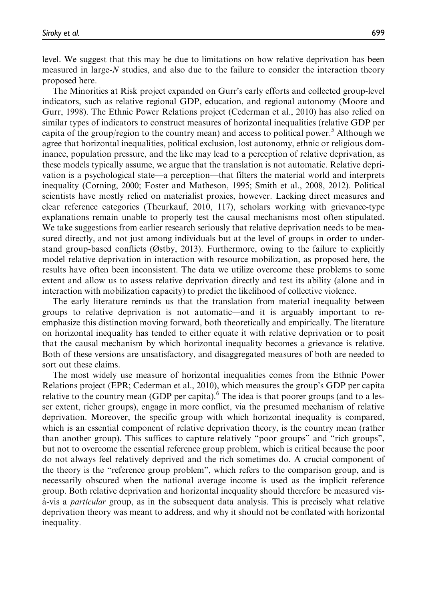level. We suggest that this may be due to limitations on how relative deprivation has been measured in large-N studies, and also due to the failure to consider the interaction theory proposed here.

The Minorities at Risk project expanded on Gurr's early efforts and collected group-level indicators, such as relative regional GDP, education, and regional autonomy (Moore and Gurr, 1998). The Ethnic Power Relations project (Cederman et al., 2010) has also relied on similar types of indicators to construct measures of horizontal inequalities (relative GDP per capita of the group/region to the country mean) and access to political power. $\delta$  Although we agree that horizontal inequalities, political exclusion, lost autonomy, ethnic or religious dominance, population pressure, and the like may lead to a perception of relative deprivation, as these models typically assume, we argue that the translation is not automatic. Relative deprivation is a psychological state—a perception—that filters the material world and interprets inequality (Corning, 2000; Foster and Matheson, 1995; Smith et al., 2008, 2012). Political scientists have mostly relied on materialist proxies, however. Lacking direct measures and clear reference categories (Theurkauf, 2010, 117), scholars working with grievance-type explanations remain unable to properly test the causal mechanisms most often stipulated. We take suggestions from earlier research seriously that relative deprivation needs to be measured directly, and not just among individuals but at the level of groups in order to understand group-based conflicts (Østby, 2013). Furthermore, owing to the failure to explicitly model relative deprivation in interaction with resource mobilization, as proposed here, the results have often been inconsistent. The data we utilize overcome these problems to some extent and allow us to assess relative deprivation directly and test its ability (alone and in interaction with mobilization capacity) to predict the likelihood of collective violence.

The early literature reminds us that the translation from material inequality between groups to relative deprivation is not automatic—and it is arguably important to reemphasize this distinction moving forward, both theoretically and empirically. The literature on horizontal inequality has tended to either equate it with relative deprivation or to posit that the causal mechanism by which horizontal inequality becomes a grievance is relative. Both of these versions are unsatisfactory, and disaggregated measures of both are needed to sort out these claims.

The most widely use measure of horizontal inequalities comes from the Ethnic Power Relations project (EPR; Cederman et al., 2010), which measures the group's GDP per capita relative to the country mean (GDP per capita).<sup>6</sup> The idea is that poorer groups (and to a lesser extent, richer groups), engage in more conflict, via the presumed mechanism of relative deprivation. Moreover, the specific group with which horizontal inequality is compared, which is an essential component of relative deprivation theory, is the country mean (rather than another group). This suffices to capture relatively ''poor groups'' and ''rich groups'', but not to overcome the essential reference group problem, which is critical because the poor do not always feel relatively deprived and the rich sometimes do. A crucial component of the theory is the ''reference group problem'', which refers to the comparison group, and is necessarily obscured when the national average income is used as the implicit reference group. Both relative deprivation and horizontal inequality should therefore be measured visa-vis a *particular* group, as in the subsequent data analysis. This is precisely what relative deprivation theory was meant to address, and why it should not be conflated with horizontal inequality.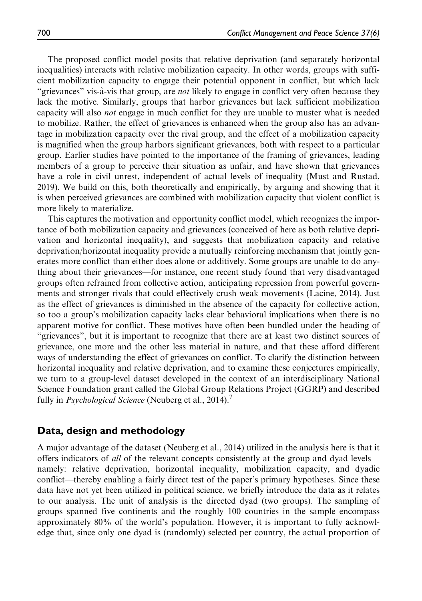The proposed conflict model posits that relative deprivation (and separately horizontal inequalities) interacts with relative mobilization capacity. In other words, groups with sufficient mobilization capacity to engage their potential opponent in conflict, but which lack "grievances" vis-à-vis that group, are *not* likely to engage in conflict very often because they lack the motive. Similarly, groups that harbor grievances but lack sufficient mobilization capacity will also not engage in much conflict for they are unable to muster what is needed to mobilize. Rather, the effect of grievances is enhanced when the group also has an advantage in mobilization capacity over the rival group, and the effect of a mobilization capacity is magnified when the group harbors significant grievances, both with respect to a particular group. Earlier studies have pointed to the importance of the framing of grievances, leading members of a group to perceive their situation as unfair, and have shown that grievances have a role in civil unrest, independent of actual levels of inequality (Must and Rustad, 2019). We build on this, both theoretically and empirically, by arguing and showing that it is when perceived grievances are combined with mobilization capacity that violent conflict is more likely to materialize.

This captures the motivation and opportunity conflict model, which recognizes the importance of both mobilization capacity and grievances (conceived of here as both relative deprivation and horizontal inequality), and suggests that mobilization capacity and relative deprivation/horizontal inequality provide a mutually reinforcing mechanism that jointly generates more conflict than either does alone or additively. Some groups are unable to do anything about their grievances—for instance, one recent study found that very disadvantaged groups often refrained from collective action, anticipating repression from powerful governments and stronger rivals that could effectively crush weak movements (Lacine, 2014). Just as the effect of grievances is diminished in the absence of the capacity for collective action, so too a group's mobilization capacity lacks clear behavioral implications when there is no apparent motive for conflict. These motives have often been bundled under the heading of ''grievances'', but it is important to recognize that there are at least two distinct sources of grievance, one more and the other less material in nature, and that these afford different ways of understanding the effect of grievances on conflict. To clarify the distinction between horizontal inequality and relative deprivation, and to examine these conjectures empirically, we turn to a group-level dataset developed in the context of an interdisciplinary National Science Foundation grant called the Global Group Relations Project (GGRP) and described fully in *Psychological Science* (Neuberg et al., 2014).<sup>7</sup>

# Data, design and methodology

A major advantage of the dataset (Neuberg et al., 2014) utilized in the analysis here is that it offers indicators of all of the relevant concepts consistently at the group and dyad levels namely: relative deprivation, horizontal inequality, mobilization capacity, and dyadic conflict—thereby enabling a fairly direct test of the paper's primary hypotheses. Since these data have not yet been utilized in political science, we briefly introduce the data as it relates to our analysis. The unit of analysis is the directed dyad (two groups). The sampling of groups spanned five continents and the roughly 100 countries in the sample encompass approximately 80% of the world's population. However, it is important to fully acknowledge that, since only one dyad is (randomly) selected per country, the actual proportion of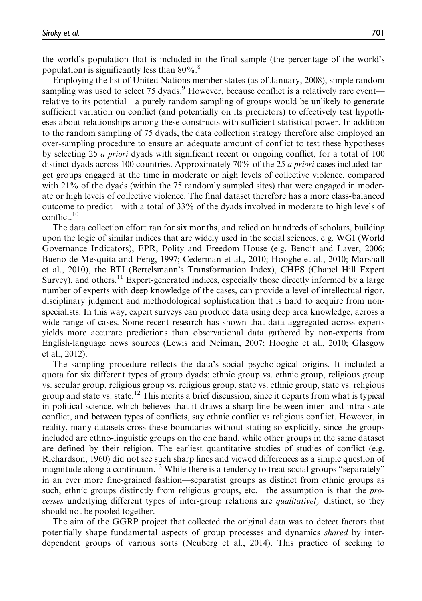the world's population that is included in the final sample (the percentage of the world's population) is significantly less than  $80\%$ .<sup>8</sup>

Employing the list of United Nations member states (as of January, 2008), simple random sampling was used to select 75 dyads.<sup>9</sup> However, because conflict is a relatively rare event relative to its potential—a purely random sampling of groups would be unlikely to generate sufficient variation on conflict (and potentially on its predictors) to effectively test hypotheses about relationships among these constructs with sufficient statistical power. In addition to the random sampling of 75 dyads, the data collection strategy therefore also employed an over-sampling procedure to ensure an adequate amount of conflict to test these hypotheses by selecting 25 a priori dyads with significant recent or ongoing conflict, for a total of 100 distinct dyads across 100 countries. Approximately 70% of the 25 a priori cases included target groups engaged at the time in moderate or high levels of collective violence, compared with 21% of the dyads (within the 75 randomly sampled sites) that were engaged in moderate or high levels of collective violence. The final dataset therefore has a more class-balanced outcome to predict—with a total of 33% of the dyads involved in moderate to high levels of conflict. $10$ 

The data collection effort ran for six months, and relied on hundreds of scholars, building upon the logic of similar indices that are widely used in the social sciences, e.g. WGI (World Governance Indicators), EPR, Polity and Freedom House (e.g. Benoit and Laver, 2006; Bueno de Mesquita and Feng, 1997; Cederman et al., 2010; Hooghe et al., 2010; Marshall et al., 2010), the BTI (Bertelsmann's Transformation Index), CHES (Chapel Hill Expert Survey), and others.<sup>11</sup> Expert-generated indices, especially those directly informed by a large number of experts with deep knowledge of the cases, can provide a level of intellectual rigor, disciplinary judgment and methodological sophistication that is hard to acquire from nonspecialists. In this way, expert surveys can produce data using deep area knowledge, across a wide range of cases. Some recent research has shown that data aggregated across experts yields more accurate predictions than observational data gathered by non-experts from English-language news sources (Lewis and Neiman, 2007; Hooghe et al., 2010; Glasgow et al., 2012).

The sampling procedure reflects the data's social psychological origins. It included a quota for six different types of group dyads: ethnic group vs. ethnic group, religious group vs. secular group, religious group vs. religious group, state vs. ethnic group, state vs. religious group and state vs. state.<sup>12</sup> This merits a brief discussion, since it departs from what is typical in political science, which believes that it draws a sharp line between inter- and intra-state conflict, and between types of conflicts, say ethnic conflict vs religious conflict. However, in reality, many datasets cross these boundaries without stating so explicitly, since the groups included are ethno-linguistic groups on the one hand, while other groups in the same dataset are defined by their religion. The earliest quantitative studies of studies of conflict (e.g. Richardson, 1960) did not see such sharp lines and viewed differences as a simple question of magnitude along a continuum.<sup>13</sup> While there is a tendency to treat social groups "separately" in an ever more fine-grained fashion—separatist groups as distinct from ethnic groups as such, ethnic groups distinctly from religious groups, etc.—the assumption is that the *pro*cesses underlying different types of inter-group relations are qualitatively distinct, so they should not be pooled together.

The aim of the GGRP project that collected the original data was to detect factors that potentially shape fundamental aspects of group processes and dynamics shared by interdependent groups of various sorts (Neuberg et al., 2014). This practice of seeking to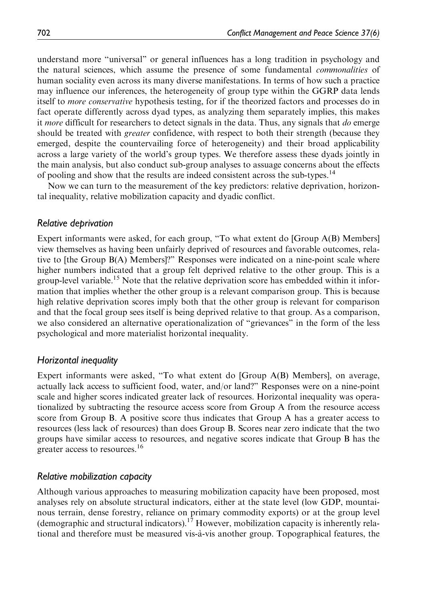understand more ''universal'' or general influences has a long tradition in psychology and the natural sciences, which assume the presence of some fundamental commonalities of human sociality even across its many diverse manifestations. In terms of how such a practice may influence our inferences, the heterogeneity of group type within the GGRP data lends itself to more conservative hypothesis testing, for if the theorized factors and processes do in fact operate differently across dyad types, as analyzing them separately implies, this makes it more difficult for researchers to detect signals in the data. Thus, any signals that do emerge should be treated with *greater* confidence, with respect to both their strength (because they emerged, despite the countervailing force of heterogeneity) and their broad applicability across a large variety of the world's group types. We therefore assess these dyads jointly in the main analysis, but also conduct sub-group analyses to assuage concerns about the effects of pooling and show that the results are indeed consistent across the sub-types.<sup>14</sup>

Now we can turn to the measurement of the key predictors: relative deprivation, horizontal inequality, relative mobilization capacity and dyadic conflict.

# Relative deprivation

Expert informants were asked, for each group, ''To what extent do [Group A(B) Members] view themselves as having been unfairly deprived of resources and favorable outcomes, relative to [the Group B(A) Members]?'' Responses were indicated on a nine-point scale where higher numbers indicated that a group felt deprived relative to the other group. This is a group-level variable.<sup>15</sup> Note that the relative deprivation score has embedded within it information that implies whether the other group is a relevant comparison group. This is because high relative deprivation scores imply both that the other group is relevant for comparison and that the focal group sees itself is being deprived relative to that group. As a comparison, we also considered an alternative operationalization of "grievances" in the form of the less psychological and more materialist horizontal inequality.

# Horizontal inequality

Expert informants were asked, ''To what extent do [Group A(B) Members], on average, actually lack access to sufficient food, water, and/or land?'' Responses were on a nine-point scale and higher scores indicated greater lack of resources. Horizontal inequality was operationalized by subtracting the resource access score from Group A from the resource access score from Group B. A positive score thus indicates that Group A has a greater access to resources (less lack of resources) than does Group B. Scores near zero indicate that the two groups have similar access to resources, and negative scores indicate that Group B has the greater access to resources.<sup>16</sup>

# Relative mobilization capacity

Although various approaches to measuring mobilization capacity have been proposed, most analyses rely on absolute structural indicators, either at the state level (low GDP, mountainous terrain, dense forestry, reliance on primary commodity exports) or at the group level (demographic and structural indicators).<sup>17</sup> However, mobilization capacity is inherently relational and therefore must be measured vis-a`-vis another group. Topographical features, the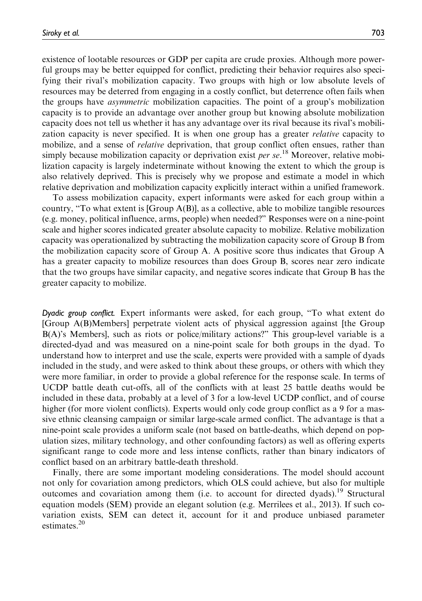existence of lootable resources or GDP per capita are crude proxies. Although more powerful groups may be better equipped for conflict, predicting their behavior requires also specifying their rival's mobilization capacity. Two groups with high or low absolute levels of resources may be deterred from engaging in a costly conflict, but deterrence often fails when the groups have asymmetric mobilization capacities. The point of a group's mobilization capacity is to provide an advantage over another group but knowing absolute mobilization capacity does not tell us whether it has any advantage over its rival because its rival's mobilization capacity is never specified. It is when one group has a greater *relative* capacity to mobilize, and a sense of *relative* deprivation, that group conflict often ensues, rather than simply because mobilization capacity or deprivation exist per se.<sup>18</sup> Moreover, relative mobilization capacity is largely indeterminate without knowing the extent to which the group is also relatively deprived. This is precisely why we propose and estimate a model in which relative deprivation and mobilization capacity explicitly interact within a unified framework.

To assess mobilization capacity, expert informants were asked for each group within a country, "To what extent is  $[Group A(B)]$ , as a collective, able to mobilize tangible resources (e.g. money, political influence, arms, people) when needed?'' Responses were on a nine-point scale and higher scores indicated greater absolute capacity to mobilize. Relative mobilization capacity was operationalized by subtracting the mobilization capacity score of Group B from the mobilization capacity score of Group A. A positive score thus indicates that Group A has a greater capacity to mobilize resources than does Group B, scores near zero indicate that the two groups have similar capacity, and negative scores indicate that Group B has the greater capacity to mobilize.

Dyadic group conflict. Expert informants were asked, for each group, ''To what extent do [Group A(B)Members] perpetrate violent acts of physical aggression against [the Group B(A)'s Members], such as riots or police/military actions?'' This group-level variable is a directed-dyad and was measured on a nine-point scale for both groups in the dyad. To understand how to interpret and use the scale, experts were provided with a sample of dyads included in the study, and were asked to think about these groups, or others with which they were more familiar, in order to provide a global reference for the response scale. In terms of UCDP battle death cut-offs, all of the conflicts with at least 25 battle deaths would be included in these data, probably at a level of 3 for a low-level UCDP conflict, and of course higher (for more violent conflicts). Experts would only code group conflict as a 9 for a massive ethnic cleansing campaign or similar large-scale armed conflict. The advantage is that a nine-point scale provides a uniform scale (not based on battle-deaths, which depend on population sizes, military technology, and other confounding factors) as well as offering experts significant range to code more and less intense conflicts, rather than binary indicators of conflict based on an arbitrary battle-death threshold.

Finally, there are some important modeling considerations. The model should account not only for covariation among predictors, which OLS could achieve, but also for multiple outcomes and covariation among them (i.e. to account for directed dyads).<sup>19</sup> Structural equation models (SEM) provide an elegant solution (e.g. Merrilees et al., 2013). If such covariation exists, SEM can detect it, account for it and produce unbiased parameter estimates.<sup>20</sup>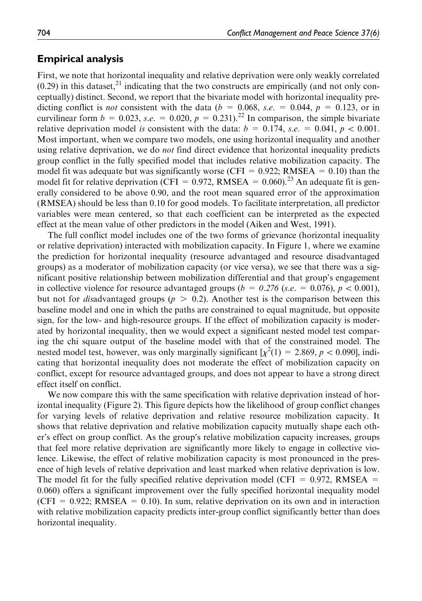# Empirical analysis

First, we note that horizontal inequality and relative deprivation were only weakly correlated  $(0.29)$  in this dataset,<sup>21</sup> indicating that the two constructs are empirically (and not only conceptually) distinct. Second, we report that the bivariate model with horizontal inequality predicting conflict is *not* consistent with the data ( $b = 0.068$ , *s.e.* = 0.044,  $p = 0.123$ , or in curvilinear form  $b = 0.023$ , s.e. = 0.020,  $p = 0.231$ .<sup>22</sup> In comparison, the simple bivariate relative deprivation model is consistent with the data:  $b = 0.174$ , s.e. = 0.041,  $p < 0.001$ . Most important, when we compare two models, one using horizontal inequality and another using relative deprivation, we do *not* find direct evidence that horizontal inequality predicts group conflict in the fully specified model that includes relative mobilization capacity. The model fit was adequate but was significantly worse (CFI =  $0.922$ ; RMSEA = 0.10) than the model fit for relative deprivation (CFI =  $0.972$ , RMSEA =  $0.060$ ).<sup>23</sup> An adequate fit is generally considered to be above 0.90, and the root mean squared error of the approximation (RMSEA) should be less than 0.10 for good models. To facilitate interpretation, all predictor variables were mean centered, so that each coefficient can be interpreted as the expected effect at the mean value of other predictors in the model (Aiken and West, 1991).

The full conflict model includes one of the two forms of grievance (horizontal inequality or relative deprivation) interacted with mobilization capacity. In Figure 1, where we examine the prediction for horizontal inequality (resource advantaged and resource disadvantaged groups) as a moderator of mobilization capacity (or vice versa), we see that there was a significant positive relationship between mobilization differential and that group's engagement in collective violence for resource advantaged groups ( $b = 0.276$  (s.e.  $= 0.076$ ),  $p < 0.001$ ), but not for disadvantaged groups ( $p > 0.2$ ). Another test is the comparison between this baseline model and one in which the paths are constrained to equal magnitude, but opposite sign, for the low- and high-resource groups. If the effect of mobilization capacity is moderated by horizontal inequality, then we would expect a significant nested model test comparing the chi square output of the baseline model with that of the constrained model. The nested model test, however, was only marginally significant  $\left[\chi^2(1) = 2.869, p < 0.090\right]$ , indicating that horizontal inequality does not moderate the effect of mobilization capacity on conflict, except for resource advantaged groups, and does not appear to have a strong direct effect itself on conflict.

We now compare this with the same specification with relative deprivation instead of horizontal inequality (Figure 2). This figure depicts how the likelihood of group conflict changes for varying levels of relative deprivation and relative resource mobilization capacity. It shows that relative deprivation and relative mobilization capacity mutually shape each other's effect on group conflict. As the group's relative mobilization capacity increases, groups that feel more relative deprivation are significantly more likely to engage in collective violence. Likewise, the effect of relative mobilization capacity is most pronounced in the presence of high levels of relative deprivation and least marked when relative deprivation is low. The model fit for the fully specified relative deprivation model (CFI =  $0.972$ , RMSEA = 0.060) offers a significant improvement over the fully specified horizontal inequality model (CFI =  $0.922$ ; RMSEA =  $0.10$ ). In sum, relative deprivation on its own and in interaction with relative mobilization capacity predicts inter-group conflict significantly better than does horizontal inequality.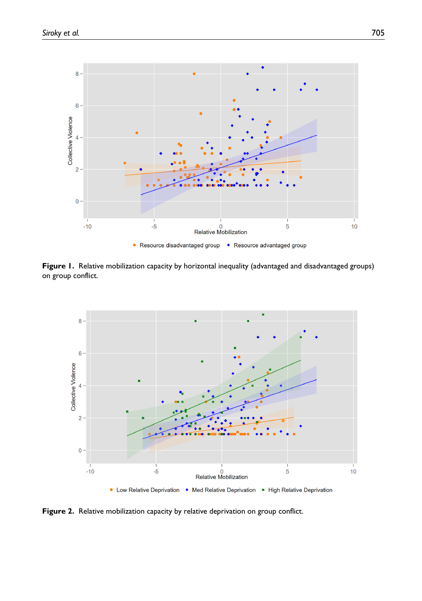

Figure 1. Relative mobilization capacity by horizontal inequality (advantaged and disadvantaged groups) on group conflict.



Figure 2. Relative mobilization capacity by relative deprivation on group conflict.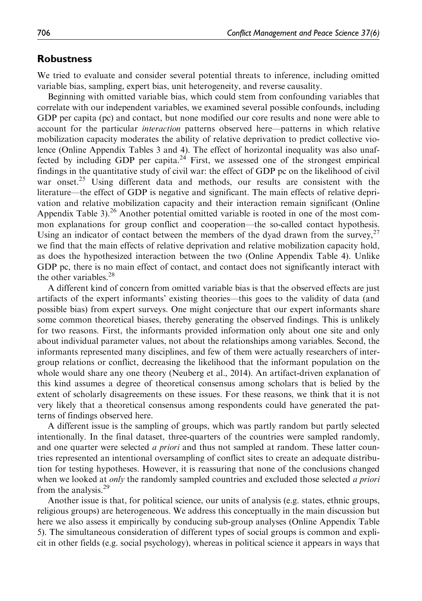# Robustness

We tried to evaluate and consider several potential threats to inference, including omitted variable bias, sampling, expert bias, unit heterogeneity, and reverse causality.

Beginning with omitted variable bias, which could stem from confounding variables that correlate with our independent variables, we examined several possible confounds, including GDP per capita (pc) and contact, but none modified our core results and none were able to account for the particular interaction patterns observed here—patterns in which relative mobilization capacity moderates the ability of relative deprivation to predict collective violence (Online Appendix Tables 3 and 4). The effect of horizontal inequality was also unaffected by including GDP per capita.<sup>24</sup> First, we assessed one of the strongest empirical findings in the quantitative study of civil war: the effect of GDP pc on the likelihood of civil war onset.<sup>25</sup> Using different data and methods, our results are consistent with the literature—the effect of GDP is negative and significant. The main effects of relative deprivation and relative mobilization capacity and their interaction remain significant (Online Appendix Table 3).<sup>26</sup> Another potential omitted variable is rooted in one of the most common explanations for group conflict and cooperation—the so-called contact hypothesis. Using an indicator of contact between the members of the dyad drawn from the survey, $27$ we find that the main effects of relative deprivation and relative mobilization capacity hold, as does the hypothesized interaction between the two (Online Appendix Table 4). Unlike GDP pc, there is no main effect of contact, and contact does not significantly interact with the other variables.<sup>28</sup>

A different kind of concern from omitted variable bias is that the observed effects are just artifacts of the expert informants' existing theories—this goes to the validity of data (and possible bias) from expert surveys. One might conjecture that our expert informants share some common theoretical biases, thereby generating the observed findings. This is unlikely for two reasons. First, the informants provided information only about one site and only about individual parameter values, not about the relationships among variables. Second, the informants represented many disciplines, and few of them were actually researchers of intergroup relations or conflict, decreasing the likelihood that the informant population on the whole would share any one theory (Neuberg et al., 2014). An artifact-driven explanation of this kind assumes a degree of theoretical consensus among scholars that is belied by the extent of scholarly disagreements on these issues. For these reasons, we think that it is not very likely that a theoretical consensus among respondents could have generated the patterns of findings observed here.

A different issue is the sampling of groups, which was partly random but partly selected intentionally. In the final dataset, three-quarters of the countries were sampled randomly, and one quarter were selected *a priori* and thus not sampled at random. These latter countries represented an intentional oversampling of conflict sites to create an adequate distribution for testing hypotheses. However, it is reassuring that none of the conclusions changed when we looked at *only* the randomly sampled countries and excluded those selected *a priori* from the analysis.29

Another issue is that, for political science, our units of analysis (e.g. states, ethnic groups, religious groups) are heterogeneous. We address this conceptually in the main discussion but here we also assess it empirically by conducing sub-group analyses (Online Appendix Table 5). The simultaneous consideration of different types of social groups is common and explicit in other fields (e.g. social psychology), whereas in political science it appears in ways that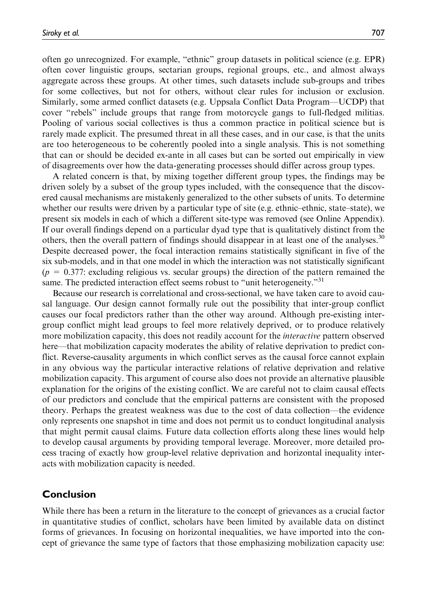often go unrecognized. For example, ''ethnic'' group datasets in political science (e.g. EPR) often cover linguistic groups, sectarian groups, regional groups, etc., and almost always aggregate across these groups. At other times, such datasets include sub-groups and tribes for some collectives, but not for others, without clear rules for inclusion or exclusion. Similarly, some armed conflict datasets (e.g. Uppsala Conflict Data Program—UCDP) that cover ''rebels'' include groups that range from motorcycle gangs to full-fledged militias. Pooling of various social collectives is thus a common practice in political science but is rarely made explicit. The presumed threat in all these cases, and in our case, is that the units are too heterogeneous to be coherently pooled into a single analysis. This is not something that can or should be decided ex-ante in all cases but can be sorted out empirically in view of disagreements over how the data-generating processes should differ across group types.

A related concern is that, by mixing together different group types, the findings may be driven solely by a subset of the group types included, with the consequence that the discovered causal mechanisms are mistakenly generalized to the other subsets of units. To determine whether our results were driven by a particular type of site (e.g. ethnic–ethnic, state–state), we present six models in each of which a different site-type was removed (see Online Appendix). If our overall findings depend on a particular dyad type that is qualitatively distinct from the others, then the overall pattern of findings should disappear in at least one of the analyses.<sup>30</sup> Despite decreased power, the focal interaction remains statistically significant in five of the six sub-models, and in that one model in which the interaction was not statistically significant  $(p = 0.377$ : excluding religious vs. secular groups) the direction of the pattern remained the same. The predicted interaction effect seems robust to "unit heterogeneity."<sup>31</sup>

Because our research is correlational and cross-sectional, we have taken care to avoid causal language. Our design cannot formally rule out the possibility that inter-group conflict causes our focal predictors rather than the other way around. Although pre-existing intergroup conflict might lead groups to feel more relatively deprived, or to produce relatively more mobilization capacity, this does not readily account for the *interactive* pattern observed here—that mobilization capacity moderates the ability of relative deprivation to predict conflict. Reverse-causality arguments in which conflict serves as the causal force cannot explain in any obvious way the particular interactive relations of relative deprivation and relative mobilization capacity. This argument of course also does not provide an alternative plausible explanation for the origins of the existing conflict. We are careful not to claim causal effects of our predictors and conclude that the empirical patterns are consistent with the proposed theory. Perhaps the greatest weakness was due to the cost of data collection—the evidence only represents one snapshot in time and does not permit us to conduct longitudinal analysis that might permit causal claims. Future data collection efforts along these lines would help to develop causal arguments by providing temporal leverage. Moreover, more detailed process tracing of exactly how group-level relative deprivation and horizontal inequality interacts with mobilization capacity is needed.

# Conclusion

While there has been a return in the literature to the concept of grievances as a crucial factor in quantitative studies of conflict, scholars have been limited by available data on distinct forms of grievances. In focusing on horizontal inequalities, we have imported into the concept of grievance the same type of factors that those emphasizing mobilization capacity use: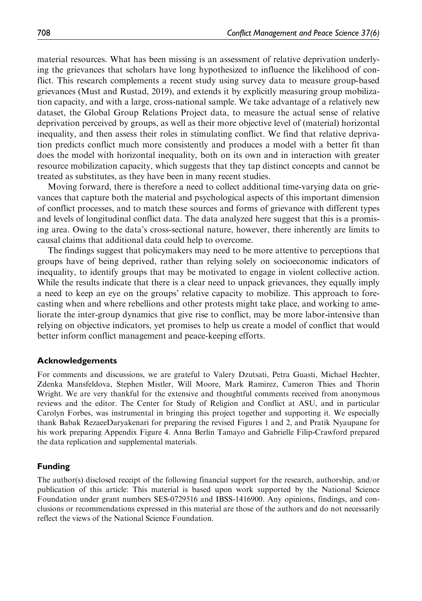material resources. What has been missing is an assessment of relative deprivation underlying the grievances that scholars have long hypothesized to influence the likelihood of conflict. This research complements a recent study using survey data to measure group-based grievances (Must and Rustad, 2019), and extends it by explicitly measuring group mobilization capacity, and with a large, cross-national sample. We take advantage of a relatively new dataset, the Global Group Relations Project data, to measure the actual sense of relative deprivation perceived by groups, as well as their more objective level of (material) horizontal inequality, and then assess their roles in stimulating conflict. We find that relative deprivation predicts conflict much more consistently and produces a model with a better fit than does the model with horizontal inequality, both on its own and in interaction with greater resource mobilization capacity, which suggests that they tap distinct concepts and cannot be treated as substitutes, as they have been in many recent studies.

Moving forward, there is therefore a need to collect additional time-varying data on grievances that capture both the material and psychological aspects of this important dimension of conflict processes, and to match these sources and forms of grievance with different types and levels of longitudinal conflict data. The data analyzed here suggest that this is a promising area. Owing to the data's cross-sectional nature, however, there inherently are limits to causal claims that additional data could help to overcome.

The findings suggest that policymakers may need to be more attentive to perceptions that groups have of being deprived, rather than relying solely on socioeconomic indicators of inequality, to identify groups that may be motivated to engage in violent collective action. While the results indicate that there is a clear need to unpack grievances, they equally imply a need to keep an eye on the groups' relative capacity to mobilize. This approach to forecasting when and where rebellions and other protests might take place, and working to ameliorate the inter-group dynamics that give rise to conflict, may be more labor-intensive than relying on objective indicators, yet promises to help us create a model of conflict that would better inform conflict management and peace-keeping efforts.

#### Acknowledgements

For comments and discussions, we are grateful to Valery Dzutsati, Petra Guasti, Michael Hechter, Zdenka Mansfeldova, Stephen Mistler, Will Moore, Mark Ramirez, Cameron Thies and Thorin Wright. We are very thankful for the extensive and thoughtful comments received from anonymous reviews and the editor. The Center for Study of Religion and Conflict at ASU, and in particular Carolyn Forbes, was instrumental in bringing this project together and supporting it. We especially thank Babak RezaeeDaryakenari for preparing the revised Figures 1 and 2, and Pratik Nyaupane for his work preparing Appendix Figure 4. Anna Berlin Tamayo and Gabrielle Filip-Crawford prepared the data replication and supplemental materials.

#### Funding

The author(s) disclosed receipt of the following financial support for the research, authorship, and/or publication of this article: This material is based upon work supported by the National Science Foundation under grant numbers SES-0729516 and IBSS-1416900. Any opinions, findings, and conclusions or recommendations expressed in this material are those of the authors and do not necessarily reflect the views of the National Science Foundation.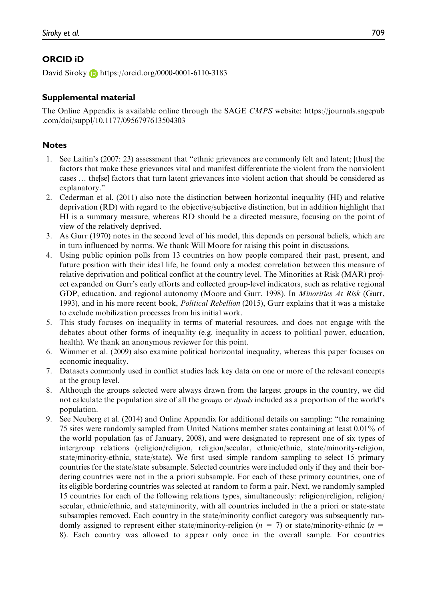# ORCID iD

David Siroky <https://orcid.org/0000-0001-6110-3183>

# Supplemental material

The Online Appendix is available online through the SAGE CMPS website: https://journals.sagepub .com/doi/suppl/10.1177/0956797613504303

# Notes

- 1. See Laitin's (2007: 23) assessment that ''ethnic grievances are commonly felt and latent; [thus] the factors that make these grievances vital and manifest differentiate the violent from the nonviolent cases ... the [se] factors that turn latent grievances into violent action that should be considered as explanatory.'
- 2. Cederman et al. (2011) also note the distinction between horizontal inequality (HI) and relative deprivation (RD) with regard to the objective/subjective distinction, but in addition highlight that HI is a summary measure, whereas RD should be a directed measure, focusing on the point of view of the relatively deprived.
- 3. As Gurr (1970) notes in the second level of his model, this depends on personal beliefs, which are in turn influenced by norms. We thank Will Moore for raising this point in discussions.
- 4. Using public opinion polls from 13 countries on how people compared their past, present, and future position with their ideal life, he found only a modest correlation between this measure of relative deprivation and political conflict at the country level. The Minorities at Risk (MAR) project expanded on Gurr's early efforts and collected group-level indicators, such as relative regional GDP, education, and regional autonomy (Moore and Gurr, 1998). In *Minorities At Risk* (Gurr, 1993), and in his more recent book, *Political Rebellion* (2015), Gurr explains that it was a mistake to exclude mobilization processes from his initial work.
- 5. This study focuses on inequality in terms of material resources, and does not engage with the debates about other forms of inequality (e.g. inequality in access to political power, education, health). We thank an anonymous reviewer for this point.
- 6. Wimmer et al. (2009) also examine political horizontal inequality, whereas this paper focuses on economic inequality.
- 7. Datasets commonly used in conflict studies lack key data on one or more of the relevant concepts at the group level.
- 8. Although the groups selected were always drawn from the largest groups in the country, we did not calculate the population size of all the *groups* or *dyads* included as a proportion of the world's population.
- 9. See Neuberg et al. (2014) and Online Appendix for additional details on sampling: ''the remaining 75 sites were randomly sampled from United Nations member states containing at least 0.01% of the world population (as of January, 2008), and were designated to represent one of six types of intergroup relations (religion/religion, religion/secular, ethnic/ethnic, state/minority-religion, state/minority-ethnic, state/state). We first used simple random sampling to select 15 primary countries for the state/state subsample. Selected countries were included only if they and their bordering countries were not in the a priori subsample. For each of these primary countries, one of its eligible bordering countries was selected at random to form a pair. Next, we randomly sampled 15 countries for each of the following relations types, simultaneously: religion/religion, religion/ secular, ethnic/ethnic, and state/minority, with all countries included in the a priori or state-state subsamples removed. Each country in the state/minority conflict category was subsequently randomly assigned to represent either state/minority-religion ( $n = 7$ ) or state/minority-ethnic ( $n =$ 8). Each country was allowed to appear only once in the overall sample. For countries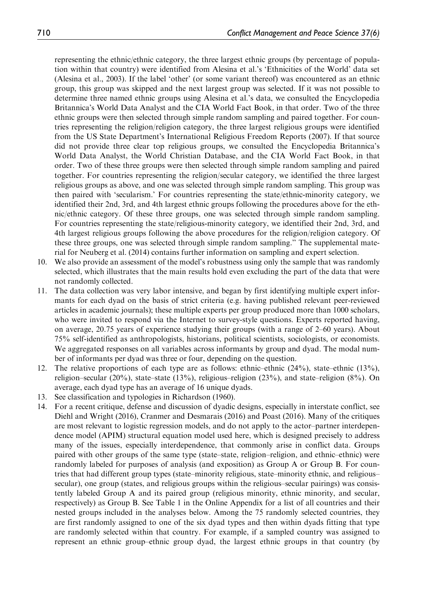representing the ethnic/ethnic category, the three largest ethnic groups (by percentage of population within that country) were identified from Alesina et al.'s 'Ethnicities of the World' data set (Alesina et al., 2003). If the label 'other' (or some variant thereof) was encountered as an ethnic group, this group was skipped and the next largest group was selected. If it was not possible to determine three named ethnic groups using Alesina et al.'s data, we consulted the Encyclopedia Britannica's World Data Analyst and the CIA World Fact Book, in that order. Two of the three ethnic groups were then selected through simple random sampling and paired together. For countries representing the religion/religion category, the three largest religious groups were identified from the US State Department's International Religious Freedom Reports (2007). If that source did not provide three clear top religious groups, we consulted the Encyclopedia Britannica's World Data Analyst, the World Christian Database, and the CIA World Fact Book, in that order. Two of these three groups were then selected through simple random sampling and paired together. For countries representing the religion/secular category, we identified the three largest religious groups as above, and one was selected through simple random sampling. This group was then paired with 'secularism.' For countries representing the state/ethnic-minority category, we identified their 2nd, 3rd, and 4th largest ethnic groups following the procedures above for the ethnic/ethnic category. Of these three groups, one was selected through simple random sampling. For countries representing the state/religious-minority category, we identified their 2nd, 3rd, and 4th largest religious groups following the above procedures for the religion/religion category. Of these three groups, one was selected through simple random sampling.'' The supplemental material for Neuberg et al. (2014) contains further information on sampling and expert selection.

- 10. We also provide an assessment of the model's robustness using only the sample that was randomly selected, which illustrates that the main results hold even excluding the part of the data that were not randomly collected.
- 11. The data collection was very labor intensive, and began by first identifying multiple expert informants for each dyad on the basis of strict criteria (e.g. having published relevant peer-reviewed articles in academic journals); these multiple experts per group produced more than 1000 scholars, who were invited to respond via the Internet to survey-style questions. Experts reported having, on average, 20.75 years of experience studying their groups (with a range of 2–60 years). About 75% self-identified as anthropologists, historians, political scientists, sociologists, or economists. We aggregated responses on all variables across informants by group and dyad. The modal number of informants per dyad was three or four, depending on the question.
- 12. The relative proportions of each type are as follows: ethnic–ethnic  $(24\%)$ , state–ethnic  $(13\%)$ , religion–secular (20%), state–state (13%), religious–religion (23%), and state–religion (8%). On average, each dyad type has an average of 16 unique dyads.
- 13. See classification and typologies in Richardson (1960).
- 14. For a recent critique, defense and discussion of dyadic designs, especially in interstate conflict, see Diehl and Wright (2016), Cranmer and Desmarais (2016) and Poast (2016). Many of the critiques are most relevant to logistic regression models, and do not apply to the actor–partner interdependence model (APIM) structural equation model used here, which is designed precisely to address many of the issues, especially interdependence, that commonly arise in conflict data. Groups paired with other groups of the same type (state–state, religion–religion, and ethnic–ethnic) were randomly labeled for purposes of analysis (and exposition) as Group A or Group B. For countries that had different group types (state–minority religious, state–minority ethnic, and religious– secular), one group (states, and religious groups within the religious–secular pairings) was consistently labeled Group A and its paired group (religious minority, ethnic minority, and secular, respectively) as Group B. See Table 1 in the Online Appendix for a list of all countries and their nested groups included in the analyses below. Among the 75 randomly selected countries, they are first randomly assigned to one of the six dyad types and then within dyads fitting that type are randomly selected within that country. For example, if a sampled country was assigned to represent an ethnic group–ethnic group dyad, the largest ethnic groups in that country (by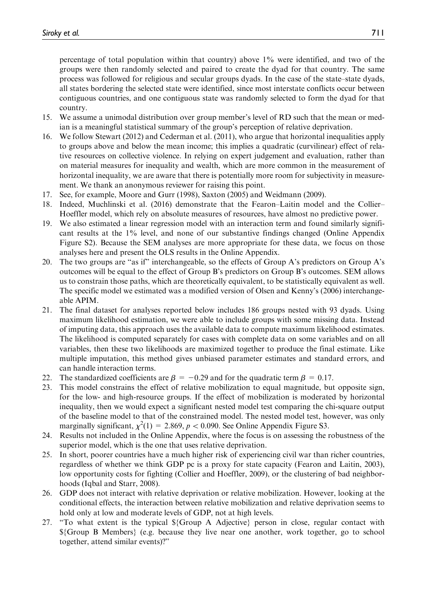percentage of total population within that country) above 1% were identified, and two of the groups were then randomly selected and paired to create the dyad for that country. The same process was followed for religious and secular groups dyads. In the case of the state–state dyads, all states bordering the selected state were identified, since most interstate conflicts occur between contiguous countries, and one contiguous state was randomly selected to form the dyad for that country.

- 15. We assume a unimodal distribution over group member's level of RD such that the mean or median is a meaningful statistical summary of the group's perception of relative deprivation.
- 16. We follow Stewart (2012) and Cederman et al. (2011), who argue that horizontal inequalities apply to groups above and below the mean income; this implies a quadratic (curvilinear) effect of relative resources on collective violence. In relying on expert judgement and evaluation, rather than on material measures for inequality and wealth, which are more common in the measurement of horizontal inequality, we are aware that there is potentially more room for subjectivity in measurement. We thank an anonymous reviewer for raising this point.
- 17. See, for example, Moore and Gurr (1998), Saxton (2005) and Weidmann (2009).
- 18. Indeed, Muchlinski et al. (2016) demonstrate that the Fearon–Laitin model and the Collier– Hoeffler model, which rely on absolute measures of resources, have almost no predictive power.
- 19. We also estimated a linear regression model with an interaction term and found similarly significant results at the 1% level, and none of our substantive findings changed (Online Appendix Figure S2). Because the SEM analyses are more appropriate for these data, we focus on those analyses here and present the OLS results in the Online Appendix.
- 20. The two groups are ''as if'' interchangeable, so the effects of Group A's predictors on Group A's outcomes will be equal to the effect of Group B's predictors on Group B's outcomes. SEM allows us to constrain those paths, which are theoretically equivalent, to be statistically equivalent as well. The specific model we estimated was a modified version of Olsen and Kenny's (2006) interchangeable APIM.
- 21. The final dataset for analyses reported below includes 186 groups nested with 93 dyads. Using maximum likelihood estimation, we were able to include groups with some missing data. Instead of imputing data, this approach uses the available data to compute maximum likelihood estimates. The likelihood is computed separately for cases with complete data on some variables and on all variables, then these two likelihoods are maximized together to produce the final estimate. Like multiple imputation, this method gives unbiased parameter estimates and standard errors, and can handle interaction terms.
- 22. The standardized coefficients are  $\beta = -0.29$  and for the quadratic term  $\beta = 0.17$ .
- 23. This model constrains the effect of relative mobilization to equal magnitude, but opposite sign, for the low- and high-resource groups. If the effect of mobilization is moderated by horizontal inequality, then we would expect a significant nested model test comparing the chi-square output of the baseline model to that of the constrained model. The nested model test, however, was only marginally significant,  $\chi^2(1) = 2.869$ ,  $p < 0.090$ . See Online Appendix Figure S3.
- 24. Results not included in the Online Appendix, where the focus is on assessing the robustness of the superior model, which is the one that uses relative deprivation.
- 25. In short, poorer countries have a much higher risk of experiencing civil war than richer countries, regardless of whether we think GDP pc is a proxy for state capacity (Fearon and Laitin, 2003), low opportunity costs for fighting (Collier and Hoeffler, 2009), or the clustering of bad neighborhoods (Iqbal and Starr, 2008).
- 26. GDP does not interact with relative deprivation or relative mobilization. However, looking at the conditional effects, the interaction between relative mobilization and relative deprivation seems to hold only at low and moderate levels of GDP, not at high levels.
- 27. ''To what extent is the typical \${Group A Adjective} person in close, regular contact with \${Group B Members} (e.g. because they live near one another, work together, go to school together, attend similar events)?''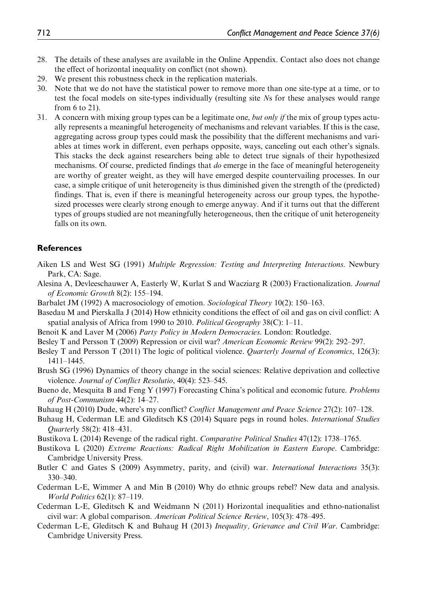- 28. The details of these analyses are available in the Online Appendix. Contact also does not change the effect of horizontal inequality on conflict (not shown).
- 29. We present this robustness check in the replication materials.
- 30. Note that we do not have the statistical power to remove more than one site-type at a time, or to test the focal models on site-types individually (resulting site Ns for these analyses would range from 6 to 21).
- 31. A concern with mixing group types can be a legitimate one, but only if the mix of group types actually represents a meaningful heterogeneity of mechanisms and relevant variables. If this is the case, aggregating across group types could mask the possibility that the different mechanisms and variables at times work in different, even perhaps opposite, ways, canceling out each other's signals. This stacks the deck against researchers being able to detect true signals of their hypothesized mechanisms. Of course, predicted findings that do emerge in the face of meaningful heterogeneity are worthy of greater weight, as they will have emerged despite countervailing processes. In our case, a simple critique of unit heterogeneity is thus diminished given the strength of the (predicted) findings. That is, even if there is meaningful heterogeneity across our group types, the hypothesized processes were clearly strong enough to emerge anyway. And if it turns out that the different types of groups studied are not meaningfully heterogeneous, then the critique of unit heterogeneity falls on its own.

### **References**

- Aiken LS and West SG (1991) Multiple Regression: Testing and Interpreting Interactions. Newbury Park, CA: Sage.
- Alesina A, Devleeschauwer A, Easterly W, Kurlat S and Wacziarg R (2003) Fractionalization. Journal of Economic Growth 8(2): 155–194.
- Barbalet JM (1992) A macrosociology of emotion. Sociological Theory 10(2): 150–163.
- Basedau M and Pierskalla J (2014) How ethnicity conditions the effect of oil and gas on civil conflict: A spatial analysis of Africa from 1990 to 2010. Political Geography 38(C): 1–11.
- Benoit K and Laver M (2006) Party Policy in Modern Democracies. London: Routledge.
- Besley T and Persson T (2009) Repression or civil war? American Economic Review 99(2): 292-297.
- Besley T and Persson T (2011) The logic of political violence. Quarterly Journal of Economics, 126(3): 1411–1445.
- Brush SG (1996) Dynamics of theory change in the social sciences: Relative deprivation and collective violence. Journal of Conflict Resolutio, 40(4): 523–545.
- Bueno de, Mesquita B and Feng Y (1997) Forecasting China's political and economic future. Problems of Post-Communism 44(2): 14–27.
- Buhaug H (2010) Dude, where's my conflict? Conflict Management and Peace Science 27(2): 107–128.
- Buhaug H, Cederman LE and Gleditsch KS (2014) Square pegs in round holes. International Studies Quarterly 58(2): 418–431.
- Bustikova L (2014) Revenge of the radical right. Comparative Political Studies 47(12): 1738–1765.
- Bustikova L (2020) Extreme Reactions: Radical Right Mobilization in Eastern Europe. Cambridge: Cambridge University Press.
- Butler C and Gates S (2009) Asymmetry, parity, and (civil) war. *International Interactions* 35(3): 330–340.
- Cederman L-E, Wimmer A and Min B (2010) Why do ethnic groups rebel? New data and analysis. World Politics 62(1): 87–119.
- Cederman L-E, Gleditsch K and Weidmann N (2011) Horizontal inequalities and ethno-nationalist civil war: A global comparison. American Political Science Review, 105(3): 478–495.
- Cederman L-E, Gleditsch K and Buhaug H (2013) Inequality, Grievance and Civil War. Cambridge: Cambridge University Press.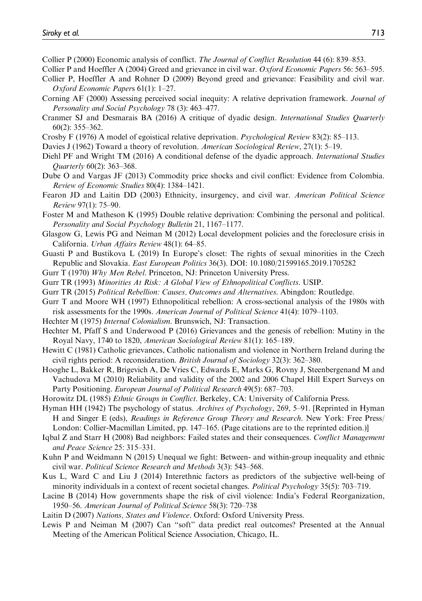- Collier P (2000) Economic analysis of conflict. The Journal of Conflict Resolution 44 (6): 839–853.
- Collier P and Hoeffler A (2004) Greed and grievance in civil war. Oxford Economic Papers 56: 563–595.
- Collier P, Hoeffler A and Rohner D (2009) Beyond greed and grievance: Feasibility and civil war. Oxford Economic Papers 61(1): 1–27.
- Corning AF (2000) Assessing perceived social inequity: A relative deprivation framework. Journal of Personality and Social Psychology 78 (3): 463–477.
- Cranmer SJ and Desmarais BA (2016) A critique of dyadic design. International Studies Quarterly 60(2): 355–362.
- Crosby F (1976) A model of egoistical relative deprivation. Psychological Review 83(2): 85–113.
- Davies J (1962) Toward a theory of revolution. American Sociological Review, 27(1): 5–19.
- Diehl PF and Wright TM (2016) A conditional defense of the dyadic approach. *International Studies* Quarterly 60(2): 363–368.
- Dube O and Vargas JF (2013) Commodity price shocks and civil conflict: Evidence from Colombia. Review of Economic Studies 80(4): 1384–1421.
- Fearon JD and Laitin DD (2003) Ethnicity, insurgency, and civil war. American Political Science Review 97(1): 75–90.
- Foster M and Matheson K (1995) Double relative deprivation: Combining the personal and political. Personality and Social Psychology Bulletin 21, 1167–1177.
- Glasgow G, Lewis PG and Neiman M (2012) Local development policies and the foreclosure crisis in California. Urban Affairs Review 48(1): 64–85.
- Guasti P and Bustikova L (2019) In Europe's closet: The rights of sexual minorities in the Czech Republic and Slovakia. East European Politics 36(3). DOI: 10.1080/21599165.2019.1705282
- Gurr T (1970) Why Men Rebel. Princeton, NJ: Princeton University Press.
- Gurr TR (1993) Minorities At Risk: A Global View of Ethnopolitical Conflicts. USIP.
- Gurr TR (2015) Political Rebellion: Causes, Outcomes and Alternatives. Abingdon: Routledge.
- Gurr T and Moore WH (1997) Ethnopolitical rebellion: A cross-sectional analysis of the 1980s with risk assessments for the 1990s. American Journal of Political Science 41(4): 1079–1103.
- Hechter M (1975) Internal Colonialism. Brunswich, NJ: Transaction.
- Hechter M, Pfaff S and Underwood P (2016) Grievances and the genesis of rebellion: Mutiny in the Royal Navy, 1740 to 1820, American Sociological Review 81(1): 165–189.
- Hewitt C (1981) Catholic grievances, Catholic nationalism and violence in Northern Ireland during the civil rights period: A reconsideration. British Journal of Sociology 32(3): 362–380.
- Hooghe L, Bakker R, Brigevich A, De Vries C, Edwards E, Marks G, Rovny J, Steenbergenand M and Vachudova M (2010) Reliability and validity of the 2002 and 2006 Chapel Hill Expert Surveys on Party Positioning. European Journal of Political Research 49(5): 687–703.
- Horowitz DL (1985) Ethnic Groups in Conflict. Berkeley, CA: University of California Press.
- Hyman HH (1942) The psychology of status. Archives of Psychology, 269, 5–91. [Reprinted in Hyman H and Singer E (eds), Readings in Reference Group Theory and Research. New York: Free Press/ London: Collier-Macmillan Limited, pp. 147–165. (Page citations are to the reprinted edition.)]
- Iqbal Z and Starr H (2008) Bad neighbors: Failed states and their consequences. Conflict Management and Peace Science 25: 315–331.
- Kuhn P and Weidmann N (2015) Unequal we fight: Between- and within-group inequality and ethnic civil war. Political Science Research and Methods 3(3): 543–568.
- Kus L, Ward C and Liu J (2014) Interethnic factors as predictors of the subjective well-being of minority individuals in a context of recent societal changes. Political Psychology 35(5): 703–719.
- Lacine B (2014) How governments shape the risk of civil violence: India's Federal Reorganization, 1950–56. American Journal of Political Science 58(3): 720–738
- Laitin D (2007) Nations, States and Violence. Oxford: Oxford University Press.
- Lewis P and Neiman M (2007) Can ''soft'' data predict real outcomes? Presented at the Annual Meeting of the American Political Science Association, Chicago, IL.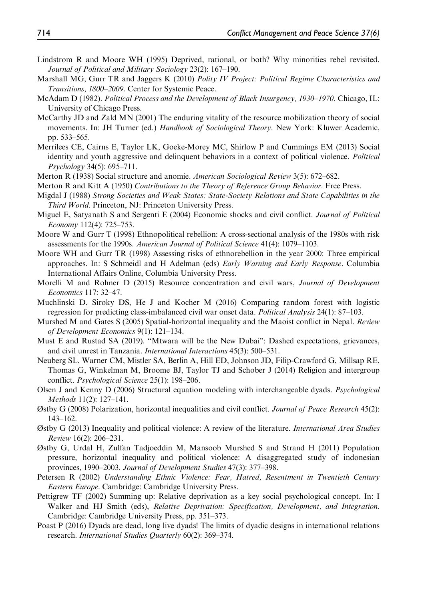- Lindstrom R and Moore WH (1995) Deprived, rational, or both? Why minorities rebel revisited. Journal of Political and Military Sociology 23(2): 167–190.
- Marshall MG, Gurr TR and Jaggers K (2010) Polity IV Project: Political Regime Characteristics and Transitions, 1800–2009. Center for Systemic Peace.
- McAdam D (1982). Political Process and the Development of Black Insurgency, 1930–1970. Chicago, IL: University of Chicago Press.
- McCarthy JD and Zald MN (2001) The enduring vitality of the resource mobilization theory of social movements. In: JH Turner (ed.) Handbook of Sociological Theory. New York: Kluwer Academic, pp. 533–565.
- Merrilees CE, Cairns E, Taylor LK, Goeke-Morey MC, Shirlow P and Cummings EM (2013) Social identity and youth aggressive and delinquent behaviors in a context of political violence. Political Psychology 34(5): 695–711.
- Merton R (1938) Social structure and anomie. American Sociological Review 3(5): 672–682.
- Merton R and Kitt A (1950) Contributions to the Theory of Reference Group Behavior. Free Press.
- Migdal J (1988) Strong Societies and Weak States: State-Society Relations and State Capabilities in the Third World. Princeton, NJ: Princeton University Press.
- Miguel E, Satyanath S and Sergenti E (2004) Economic shocks and civil conflict. Journal of Political Economy 112(4): 725–753.
- Moore W and Gurr T (1998) Ethnopolitical rebellion: A cross-sectional analysis of the 1980s with risk assessments for the 1990s. American Journal of Political Science 41(4): 1079–1103.
- Moore WH and Gurr TR (1998) Assessing risks of ethnorebellion in the year 2000: Three empirical approaches. In: S Schmeidl and H Adelman (eds) Early Warning and Early Response. Columbia International Affairs Online, Columbia University Press.
- Morelli M and Rohner D (2015) Resource concentration and civil wars, Journal of Development Economics 117: 32–47.
- Muchlinski D, Siroky DS, He J and Kocher M (2016) Comparing random forest with logistic regression for predicting class-imbalanced civil war onset data. Political Analysis 24(1): 87–103.
- Murshed M and Gates S (2005) Spatial-horizontal inequality and the Maoist conflict in Nepal. Review of Development Economics 9(1): 121–134.
- Must E and Rustad SA (2019). ''Mtwara will be the New Dubai'': Dashed expectations, grievances, and civil unrest in Tanzania. International Interactions 45(3): 500–531.
- Neuberg SL, Warner CM, Mistler SA, Berlin A, Hill ED, Johnson JD, Filip-Crawford G, Millsap RE, Thomas G, Winkelman M, Broome BJ, Taylor TJ and Schober J (2014) Religion and intergroup conflict. Psychological Science 25(1): 198–206.
- Olsen J and Kenny D (2006) Structural equation modeling with interchangeable dyads. Psychological Methods 11(2): 127–141.
- Østby G (2008) Polarization, horizontal inequalities and civil conflict. Journal of Peace Research 45(2): 143–162.
- Østby G (2013) Inequality and political violence: A review of the literature. International Area Studies Review 16(2): 206–231.
- Østby G, Urdal H, Zulfan Tadjoeddin M, Mansoob Murshed S and Strand H (2011) Population pressure, horizontal inequality and political violence: A disaggregated study of indonesian provinces, 1990–2003. Journal of Development Studies 47(3): 377–398.
- Petersen R (2002) Understanding Ethnic Violence: Fear, Hatred, Resentment in Twentieth Century Eastern Europe. Cambridge: Cambridge University Press.
- Pettigrew TF (2002) Summing up: Relative deprivation as a key social psychological concept. In: I Walker and HJ Smith (eds), Relative Deprivation: Specification, Development, and Integration. Cambridge: Cambridge University Press, pp. 351–373.
- Poast P (2016) Dyads are dead, long live dyads! The limits of dyadic designs in international relations research. International Studies Quarterly 60(2): 369–374.